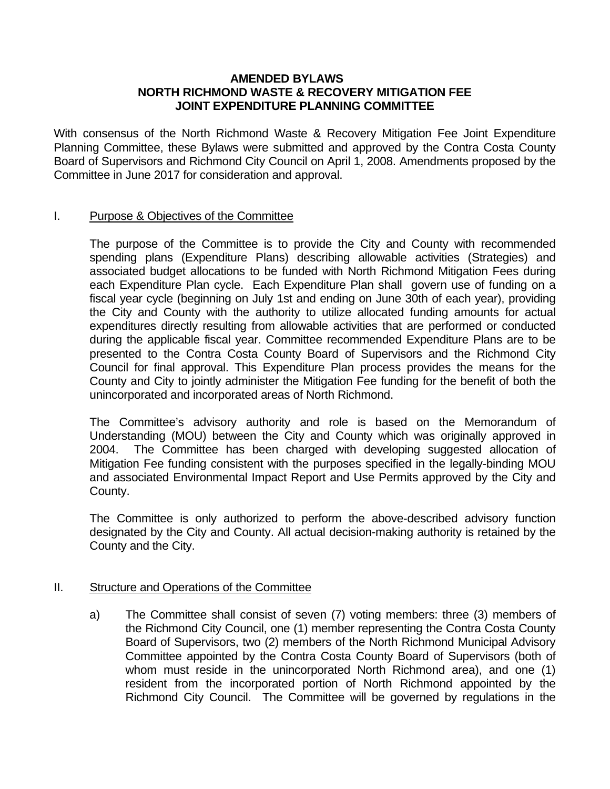## **AMENDED BYLAWS NORTH RICHMOND WASTE & RECOVERY MITIGATION FEE JOINT EXPENDITURE PLANNING COMMITTEE**

With consensus of the North Richmond Waste & Recovery Mitigation Fee Joint Expenditure Planning Committee, these Bylaws were submitted and approved by the Contra Costa County Board of Supervisors and Richmond City Council on April 1, 2008. Amendments proposed by the Committee in June 2017 for consideration and approval.

## I. Purpose & Objectives of the Committee

 The purpose of the Committee is to provide the City and County with recommended spending plans (Expenditure Plans) describing allowable activities (Strategies) and associated budget allocations to be funded with North Richmond Mitigation Fees during each Expenditure Plan cycle. Each Expenditure Plan shall govern use of funding on a fiscal year cycle (beginning on July 1st and ending on June 30th of each year), providing the City and County with the authority to utilize allocated funding amounts for actual expenditures directly resulting from allowable activities that are performed or conducted during the applicable fiscal year. Committee recommended Expenditure Plans are to be presented to the Contra Costa County Board of Supervisors and the Richmond City Council for final approval. This Expenditure Plan process provides the means for the County and City to jointly administer the Mitigation Fee funding for the benefit of both the unincorporated and incorporated areas of North Richmond.

 The Committee's advisory authority and role is based on the Memorandum of Understanding (MOU) between the City and County which was originally approved in 2004. The Committee has been charged with developing suggested allocation of Mitigation Fee funding consistent with the purposes specified in the legally-binding MOU and associated Environmental Impact Report and Use Permits approved by the City and County.

 The Committee is only authorized to perform the above-described advisory function designated by the City and County. All actual decision-making authority is retained by the County and the City.

## II. Structure and Operations of the Committee

a) The Committee shall consist of seven (7) voting members: three (3) members of the Richmond City Council, one (1) member representing the Contra Costa County Board of Supervisors, two (2) members of the North Richmond Municipal Advisory Committee appointed by the Contra Costa County Board of Supervisors (both of whom must reside in the unincorporated North Richmond area), and one (1) resident from the incorporated portion of North Richmond appointed by the Richmond City Council. The Committee will be governed by regulations in the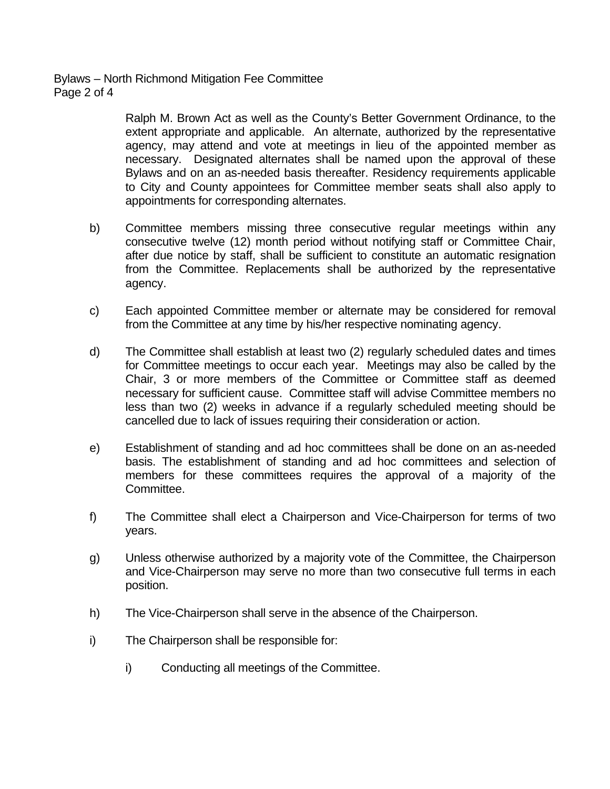Ralph M. Brown Act as well as the County's Better Government Ordinance, to the extent appropriate and applicable. An alternate, authorized by the representative agency, may attend and vote at meetings in lieu of the appointed member as necessary. Designated alternates shall be named upon the approval of these Bylaws and on an as-needed basis thereafter. Residency requirements applicable to City and County appointees for Committee member seats shall also apply to appointments for corresponding alternates.

- b) Committee members missing three consecutive regular meetings within any consecutive twelve (12) month period without notifying staff or Committee Chair, after due notice by staff, shall be sufficient to constitute an automatic resignation from the Committee. Replacements shall be authorized by the representative agency.
- c) Each appointed Committee member or alternate may be considered for removal from the Committee at any time by his/her respective nominating agency.
- d) The Committee shall establish at least two (2) regularly scheduled dates and times for Committee meetings to occur each year. Meetings may also be called by the Chair, 3 or more members of the Committee or Committee staff as deemed necessary for sufficient cause. Committee staff will advise Committee members no less than two (2) weeks in advance if a regularly scheduled meeting should be cancelled due to lack of issues requiring their consideration or action.
- e) Establishment of standing and ad hoc committees shall be done on an as-needed basis. The establishment of standing and ad hoc committees and selection of members for these committees requires the approval of a majority of the Committee.
- f) The Committee shall elect a Chairperson and Vice-Chairperson for terms of two years.
- g) Unless otherwise authorized by a majority vote of the Committee, the Chairperson and Vice-Chairperson may serve no more than two consecutive full terms in each position.
- h) The Vice-Chairperson shall serve in the absence of the Chairperson.
- i) The Chairperson shall be responsible for:
	- i) Conducting all meetings of the Committee.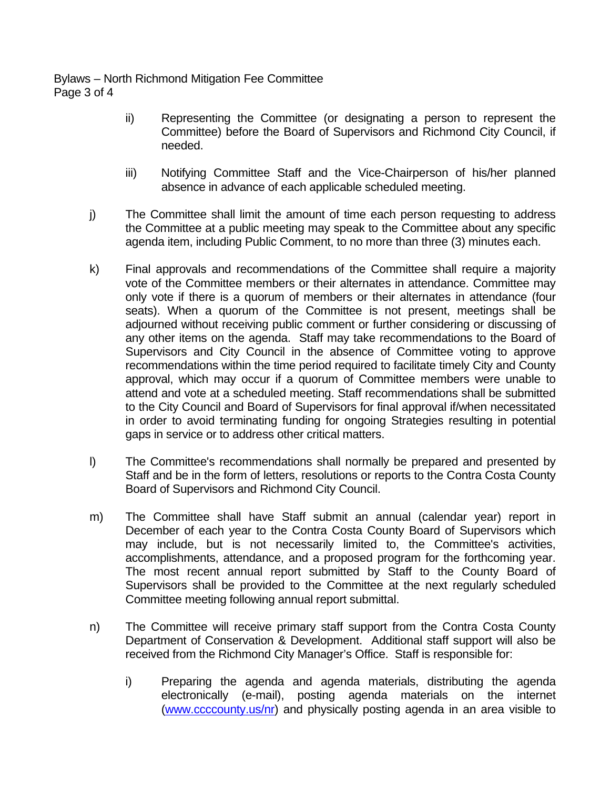Bylaws – North Richmond Mitigation Fee Committee Page 3 of 4

- ii) Representing the Committee (or designating a person to represent the Committee) before the Board of Supervisors and Richmond City Council, if needed.
- iii) Notifying Committee Staff and the Vice-Chairperson of his/her planned absence in advance of each applicable scheduled meeting.
- j) The Committee shall limit the amount of time each person requesting to address the Committee at a public meeting may speak to the Committee about any specific agenda item, including Public Comment, to no more than three (3) minutes each.
- k) Final approvals and recommendations of the Committee shall require a majority vote of the Committee members or their alternates in attendance. Committee may only vote if there is a quorum of members or their alternates in attendance (four seats). When a quorum of the Committee is not present, meetings shall be adjourned without receiving public comment or further considering or discussing of any other items on the agenda. Staff may take recommendations to the Board of Supervisors and City Council in the absence of Committee voting to approve recommendations within the time period required to facilitate timely City and County approval, which may occur if a quorum of Committee members were unable to attend and vote at a scheduled meeting. Staff recommendations shall be submitted to the City Council and Board of Supervisors for final approval if/when necessitated in order to avoid terminating funding for ongoing Strategies resulting in potential gaps in service or to address other critical matters.
- l) The Committee's recommendations shall normally be prepared and presented by Staff and be in the form of letters, resolutions or reports to the Contra Costa County Board of Supervisors and Richmond City Council.
- m) The Committee shall have Staff submit an annual (calendar year) report in December of each year to the Contra Costa County Board of Supervisors which may include, but is not necessarily limited to, the Committee's activities, accomplishments, attendance, and a proposed program for the forthcoming year. The most recent annual report submitted by Staff to the County Board of Supervisors shall be provided to the Committee at the next regularly scheduled Committee meeting following annual report submittal.
- n) The Committee will receive primary staff support from the Contra Costa County Department of Conservation & Development. Additional staff support will also be received from the Richmond City Manager's Office. Staff is responsible for:
	- i) Preparing the agenda and agenda materials, distributing the agenda electronically (e-mail), posting agenda materials on the internet (www.ccccounty.us/nr) and physically posting agenda in an area visible to